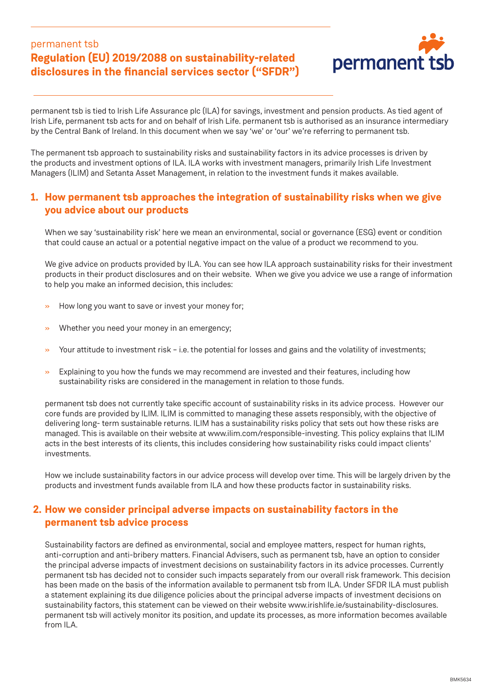## permanent tsb **Regulation (EU) 2019/2088 on sustainability-related disclosures in the financial services sector ("SFDR")**



permanent tsb is tied to Irish Life Assurance plc (ILA) for savings, investment and pension products. As tied agent of Irish Life, permanent tsb acts for and on behalf of Irish Life. permanent tsb is authorised as an insurance intermediary by the Central Bank of Ireland. In this document when we say 'we' or 'our' we're referring to permanent tsb.

The permanent tsb approach to sustainability risks and sustainability factors in its advice processes is driven by the products and investment options of ILA. ILA works with investment managers, primarily Irish Life Investment Managers (ILIM) and Setanta Asset Management, in relation to the investment funds it makes available.

## **1. How permanent tsb approaches the integration of sustainability risks when we give you advice about our products**

When we say 'sustainability risk' here we mean an environmental, social or governance (ESG) event or condition that could cause an actual or a potential negative impact on the value of a product we recommend to you.

We give advice on products provided by ILA. You can see how ILA approach sustainability risks for their investment products in their product disclosures and on their website. When we give you advice we use a range of information to help you make an informed decision, this includes:

- » How long you want to save or invest your money for;
- » Whether you need your money in an emergency;
- $\rightarrow$  Your attitude to investment risk i.e. the potential for losses and gains and the volatility of investments;
- » Explaining to you how the funds we may recommend are invested and their features, including how sustainability risks are considered in the management in relation to those funds.

permanent tsb does not currently take specific account of sustainability risks in its advice process. However our core funds are provided by ILIM. ILIM is committed to managing these assets responsibly, with the objective of delivering long- term sustainable returns. ILIM has a sustainability risks policy that sets out how these risks are managed. This is available on their website at www.ilim.com/responsible-investing. This policy explains that ILIM acts in the best interests of its clients, this includes considering how sustainability risks could impact clients' investments.

How we include sustainability factors in our advice process will develop over time. This will be largely driven by the products and investment funds available from ILA and how these products factor in sustainability risks.

## **2. How we consider principal adverse impacts on sustainability factors in the permanent tsb advice process**

Sustainability factors are defined as environmental, social and employee matters, respect for human rights, anti-corruption and anti-bribery matters. Financial Advisers, such as permanent tsb, have an option to consider the principal adverse impacts of investment decisions on sustainability factors in its advice processes. Currently permanent tsb has decided not to consider such impacts separately from our overall risk framework. This decision has been made on the basis of the information available to permanent tsb from ILA. Under SFDR ILA must publish a statement explaining its due diligence policies about the principal adverse impacts of investment decisions on sustainability factors, this statement can be viewed on their website www.irishlife.ie/sustainability-disclosures. permanent tsb will actively monitor its position, and update its processes, as more information becomes available from ILA.